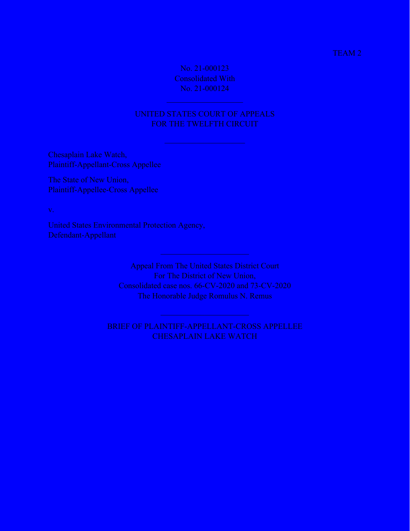### TEAM 2

No. 21-000123 Consolidated With No. 21-000124

## UNITED STATES COURT OF APPEALS FOR THE TWELFTH CIRCUIT

Chesaplain Lake Watch, Plaintiff-Appellant-Cross Appellee

The State of New Union, Plaintiff-Appellee-Cross Appellee

v.

United States Environmental Protection Agency, Defendant-Appellant

> Appeal From The United States District Court For The District of New Union, Consolidated case nos. 66-CV-2020 and 73-CV-2020 The Honorable Judge Romulus N. Remus

BRIEF OF PLAINTIFF-APPELLANT-CROSS APPELLEE CHESAPLAIN LAKE WATCH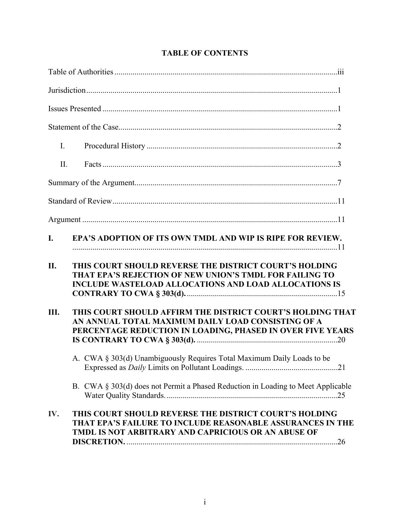| I.         |                                                                                                                                                                                   |
|------------|-----------------------------------------------------------------------------------------------------------------------------------------------------------------------------------|
| II.        |                                                                                                                                                                                   |
|            |                                                                                                                                                                                   |
|            |                                                                                                                                                                                   |
|            |                                                                                                                                                                                   |
| I.         | EPA'S ADOPTION OF ITS OWN TMDL AND WIP IS RIPE FOR REVIEW.                                                                                                                        |
| <b>II.</b> | THIS COURT SHOULD REVERSE THE DISTRICT COURT'S HOLDING<br>THAT EPA'S REJECTION OF NEW UNION'S TMDL FOR FAILING TO<br><b>INCLUDE WASTELOAD ALLOCATIONS AND LOAD ALLOCATIONS IS</b> |
| III.       | THIS COURT SHOULD AFFIRM THE DISTRICT COURT'S HOLDING THAT<br>AN ANNUAL TOTAL MAXIMUM DAILY LOAD CONSISTING OF A<br>PERCENTAGE REDUCTION IN LOADING, PHASED IN OVER FIVE YEARS    |
|            | A. CWA § 303(d) Unambiguously Requires Total Maximum Daily Loads to be                                                                                                            |
|            | B. CWA § 303(d) does not Permit a Phased Reduction in Loading to Meet Applicable                                                                                                  |
| IV.        | THIS COURT SHOULD REVERSE THE DISTRICT COURT'S HOLDING<br>THAT EPA'S FAILURE TO INCLUDE REASONABLE ASSURANCES IN THE<br>TMDL IS NOT ARBITRARY AND CAPRICIOUS OR AN ABUSE OF       |

## **TABLE OF CONTENTS**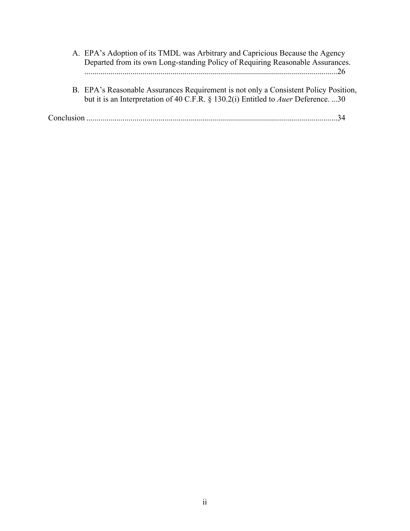- A. EPA's Adoption of its TMDL was Arbitrary and Capricious Because the Agency Departed from its own Long-standing Policy of Requiring Reasonable Assurances. ..............................................................................................................................26
- B. EPA's Reasonable Assurances Requirement is not only a Consistent Policy Position, but it is an Interpretation of 40 C.F.R. § 130.2(i) Entitled to *Auer* Deference. ...30

Conclusion .............................................................................................................................34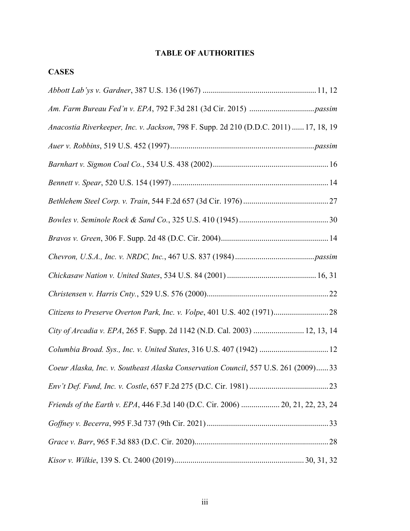## **TABLE OF AUTHORITIES**

# **CASES**

| Anacostia Riverkeeper, Inc. v. Jackson, 798 F. Supp. 2d 210 (D.D.C. 2011)  17, 18, 19 |
|---------------------------------------------------------------------------------------|
|                                                                                       |
|                                                                                       |
|                                                                                       |
|                                                                                       |
|                                                                                       |
|                                                                                       |
|                                                                                       |
|                                                                                       |
|                                                                                       |
|                                                                                       |
| City of Arcadia v. EPA, 265 F. Supp. 2d 1142 (N.D. Cal. 2003)  12, 13, 14             |
| Columbia Broad. Sys., Inc. v. United States, 316 U.S. 407 (1942)  12                  |
| Coeur Alaska, Inc. v. Southeast Alaska Conservation Council, 557 U.S. 261 (2009)33    |
|                                                                                       |
| Friends of the Earth v. EPA, 446 F.3d 140 (D.C. Cir. 2006)  20, 21, 22, 23, 24        |
|                                                                                       |
|                                                                                       |
|                                                                                       |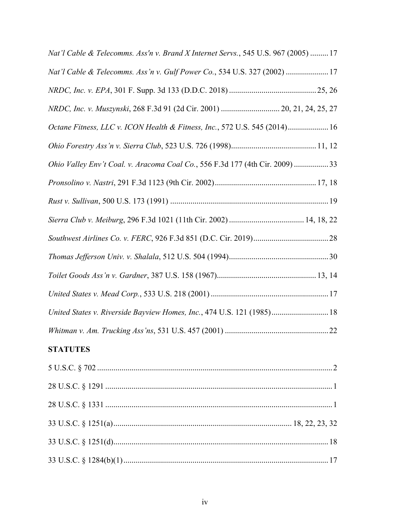| Nat'l Cable & Telecomms. Ass'n v. Brand X Internet Servs., 545 U.S. 967 (2005)  17 |
|------------------------------------------------------------------------------------|
| Nat'l Cable & Telecomms. Ass'n v. Gulf Power Co., 534 U.S. 327 (2002)  17          |
|                                                                                    |
| NRDC, Inc. v. Muszynski, 268 F.3d 91 (2d Cir. 2001)  20, 21, 24, 25, 27            |
| Octane Fitness, LLC v. ICON Health & Fitness, Inc., 572 U.S. 545 (2014) 16         |
|                                                                                    |
| Ohio Valley Env't Coal. v. Aracoma Coal Co., 556 F.3d 177 (4th Cir. 2009) 33       |
|                                                                                    |
|                                                                                    |
|                                                                                    |
|                                                                                    |
|                                                                                    |
|                                                                                    |
|                                                                                    |
| United States v. Riverside Bayview Homes, Inc., 474 U.S. 121 (1985) 18             |
|                                                                                    |

# **STATUTES**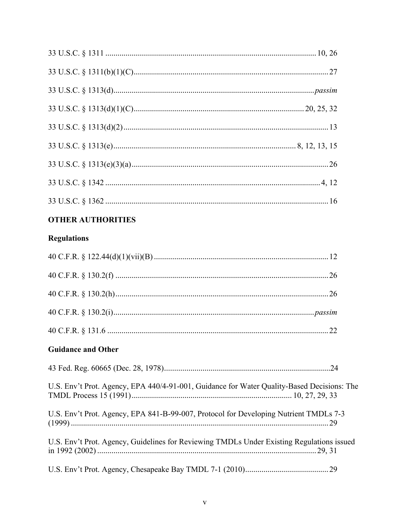# **OTHER AUTHORITIES**

# **Regulations**

# **Guidance and Other**

| U.S. Env't Prot. Agency, EPA 440/4-91-001, Guidance for Water Quality-Based Decisions: The |  |
|--------------------------------------------------------------------------------------------|--|
| U.S. Env't Prot. Agency, EPA 841-B-99-007, Protocol for Developing Nutrient TMDLs 7-3      |  |
| U.S. Env't Prot. Agency, Guidelines for Reviewing TMDLs Under Existing Regulations issued  |  |
|                                                                                            |  |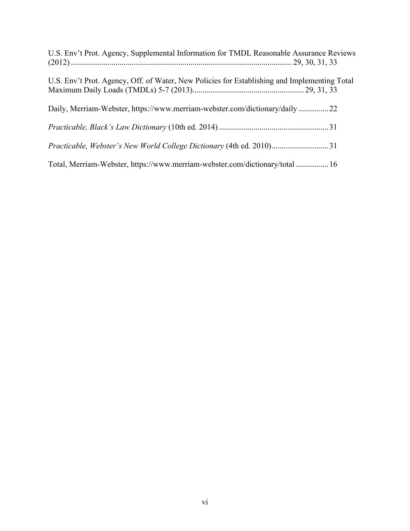| U.S. Env't Prot. Agency, Supplemental Information for TMDL Reasonable Assurance Reviews      |
|----------------------------------------------------------------------------------------------|
| U.S. Env't Prot. Agency, Off. of Water, New Policies for Establishing and Implementing Total |
| Daily, Merriam-Webster, https://www.merriam-webster.com/dictionary/daily22                   |
|                                                                                              |
|                                                                                              |
| Total, Merriam-Webster, https://www.merriam-webster.com/dictionary/total  16                 |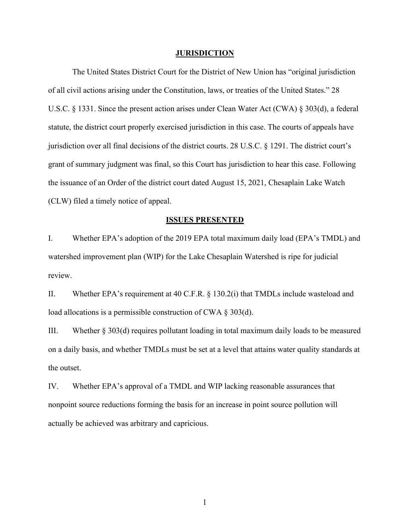#### **JURISDICTION**

The United States District Court for the District of New Union has "original jurisdiction of all civil actions arising under the Constitution, laws, or treaties of the United States." 28 U.S.C. § 1331. Since the present action arises under Clean Water Act (CWA) § 303(d), a federal statute, the district court properly exercised jurisdiction in this case. The courts of appeals have jurisdiction over all final decisions of the district courts. 28 U.S.C. § 1291. The district court's grant of summary judgment was final, so this Court has jurisdiction to hear this case. Following the issuance of an Order of the district court dated August 15, 2021, Chesaplain Lake Watch (CLW) filed a timely notice of appeal.

#### **ISSUES PRESENTED**

I. Whether EPA's adoption of the 2019 EPA total maximum daily load (EPA's TMDL) and watershed improvement plan (WIP) for the Lake Chesaplain Watershed is ripe for judicial review.

II. Whether EPA's requirement at 40 C.F.R. § 130.2(i) that TMDLs include wasteload and load allocations is a permissible construction of CWA § 303(d).

III. Whether § 303(d) requires pollutant loading in total maximum daily loads to be measured on a daily basis, and whether TMDLs must be set at a level that attains water quality standards at the outset.

IV. Whether EPA's approval of a TMDL and WIP lacking reasonable assurances that nonpoint source reductions forming the basis for an increase in point source pollution will actually be achieved was arbitrary and capricious.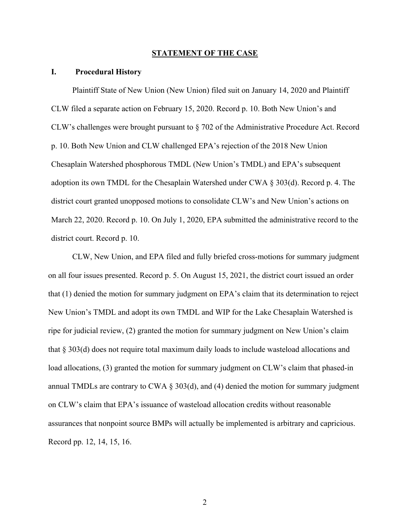#### **STATEMENT OF THE CASE**

#### **I. Procedural History**

Plaintiff State of New Union (New Union) filed suit on January 14, 2020 and Plaintiff CLW filed a separate action on February 15, 2020. Record p. 10. Both New Union's and CLW's challenges were brought pursuant to § 702 of the Administrative Procedure Act. Record p. 10. Both New Union and CLW challenged EPA's rejection of the 2018 New Union Chesaplain Watershed phosphorous TMDL (New Union's TMDL) and EPA's subsequent adoption its own TMDL for the Chesaplain Watershed under CWA  $\S 303(d)$ . Record p. 4. The district court granted unopposed motions to consolidate CLW's and New Union's actions on March 22, 2020. Record p. 10. On July 1, 2020, EPA submitted the administrative record to the district court. Record p. 10.

CLW, New Union, and EPA filed and fully briefed cross-motions for summary judgment on all four issues presented. Record p. 5. On August 15, 2021, the district court issued an order that (1) denied the motion for summary judgment on EPA's claim that its determination to reject New Union's TMDL and adopt its own TMDL and WIP for the Lake Chesaplain Watershed is ripe for judicial review, (2) granted the motion for summary judgment on New Union's claim that § 303(d) does not require total maximum daily loads to include wasteload allocations and load allocations, (3) granted the motion for summary judgment on CLW's claim that phased-in annual TMDLs are contrary to CWA § 303(d), and (4) denied the motion for summary judgment on CLW's claim that EPA's issuance of wasteload allocation credits without reasonable assurances that nonpoint source BMPs will actually be implemented is arbitrary and capricious. Record pp. 12, 14, 15, 16.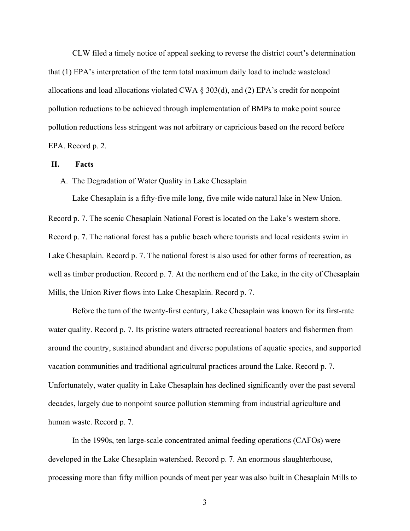CLW filed a timely notice of appeal seeking to reverse the district court's determination that (1) EPA's interpretation of the term total maximum daily load to include wasteload allocations and load allocations violated CWA § 303(d), and (2) EPA's credit for nonpoint pollution reductions to be achieved through implementation of BMPs to make point source pollution reductions less stringent was not arbitrary or capricious based on the record before EPA. Record p. 2.

### **II. Facts**

A. The Degradation of Water Quality in Lake Chesaplain

Lake Chesaplain is a fifty-five mile long, five mile wide natural lake in New Union. Record p. 7. The scenic Chesaplain National Forest is located on the Lake's western shore. Record p. 7. The national forest has a public beach where tourists and local residents swim in Lake Chesaplain. Record p. 7. The national forest is also used for other forms of recreation, as well as timber production. Record p. 7. At the northern end of the Lake, in the city of Chesaplain Mills, the Union River flows into Lake Chesaplain. Record p. 7.

Before the turn of the twenty-first century, Lake Chesaplain was known for its first-rate water quality. Record p. 7. Its pristine waters attracted recreational boaters and fishermen from around the country, sustained abundant and diverse populations of aquatic species, and supported vacation communities and traditional agricultural practices around the Lake. Record p. 7. Unfortunately, water quality in Lake Chesaplain has declined significantly over the past several decades, largely due to nonpoint source pollution stemming from industrial agriculture and human waste. Record p. 7.

In the 1990s, ten large-scale concentrated animal feeding operations (CAFOs) were developed in the Lake Chesaplain watershed. Record p. 7. An enormous slaughterhouse, processing more than fifty million pounds of meat per year was also built in Chesaplain Mills to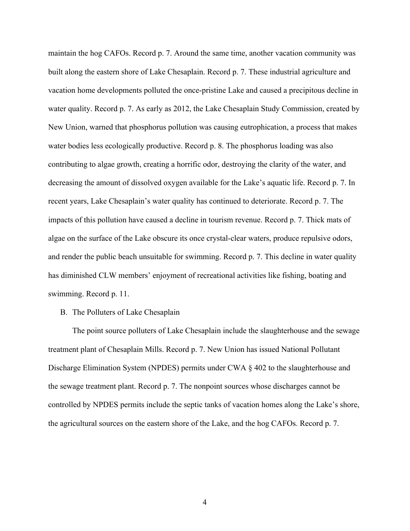maintain the hog CAFOs. Record p. 7. Around the same time, another vacation community was built along the eastern shore of Lake Chesaplain. Record p. 7. These industrial agriculture and vacation home developments polluted the once-pristine Lake and caused a precipitous decline in water quality. Record p. 7. As early as 2012, the Lake Chesaplain Study Commission, created by New Union, warned that phosphorus pollution was causing eutrophication, a process that makes water bodies less ecologically productive. Record p. 8. The phosphorus loading was also contributing to algae growth, creating a horrific odor, destroying the clarity of the water, and decreasing the amount of dissolved oxygen available for the Lake's aquatic life. Record p. 7. In recent years, Lake Chesaplain's water quality has continued to deteriorate. Record p. 7. The impacts of this pollution have caused a decline in tourism revenue. Record p. 7. Thick mats of algae on the surface of the Lake obscure its once crystal-clear waters, produce repulsive odors, and render the public beach unsuitable for swimming. Record p. 7. This decline in water quality has diminished CLW members' enjoyment of recreational activities like fishing, boating and swimming. Record p. 11.

B. The Polluters of Lake Chesaplain

The point source polluters of Lake Chesaplain include the slaughterhouse and the sewage treatment plant of Chesaplain Mills. Record p. 7. New Union has issued National Pollutant Discharge Elimination System (NPDES) permits under CWA § 402 to the slaughterhouse and the sewage treatment plant. Record p. 7. The nonpoint sources whose discharges cannot be controlled by NPDES permits include the septic tanks of vacation homes along the Lake's shore, the agricultural sources on the eastern shore of the Lake, and the hog CAFOs. Record p. 7.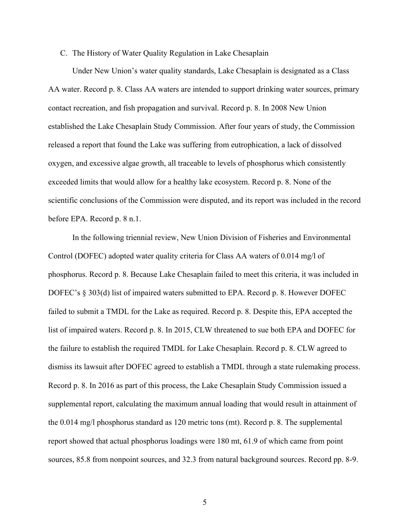### C. The History of Water Quality Regulation in Lake Chesaplain

Under New Union's water quality standards, Lake Chesaplain is designated as a Class AA water. Record p. 8. Class AA waters are intended to support drinking water sources, primary contact recreation, and fish propagation and survival. Record p. 8. In 2008 New Union established the Lake Chesaplain Study Commission. After four years of study, the Commission released a report that found the Lake was suffering from eutrophication, a lack of dissolved oxygen, and excessive algae growth, all traceable to levels of phosphorus which consistently exceeded limits that would allow for a healthy lake ecosystem. Record p. 8. None of the scientific conclusions of the Commission were disputed, and its report was included in the record before EPA. Record p. 8 n.1.

In the following triennial review, New Union Division of Fisheries and Environmental Control (DOFEC) adopted water quality criteria for Class AA waters of 0.014 mg/l of phosphorus. Record p. 8. Because Lake Chesaplain failed to meet this criteria, it was included in DOFEC's § 303(d) list of impaired waters submitted to EPA. Record p. 8. However DOFEC failed to submit a TMDL for the Lake as required. Record p. 8. Despite this, EPA accepted the list of impaired waters. Record p. 8. In 2015, CLW threatened to sue both EPA and DOFEC for the failure to establish the required TMDL for Lake Chesaplain. Record p. 8. CLW agreed to dismiss its lawsuit after DOFEC agreed to establish a TMDL through a state rulemaking process. Record p. 8. In 2016 as part of this process, the Lake Chesaplain Study Commission issued a supplemental report, calculating the maximum annual loading that would result in attainment of the 0.014 mg/l phosphorus standard as 120 metric tons (mt). Record p. 8. The supplemental report showed that actual phosphorus loadings were 180 mt, 61.9 of which came from point sources, 85.8 from nonpoint sources, and 32.3 from natural background sources. Record pp. 8-9.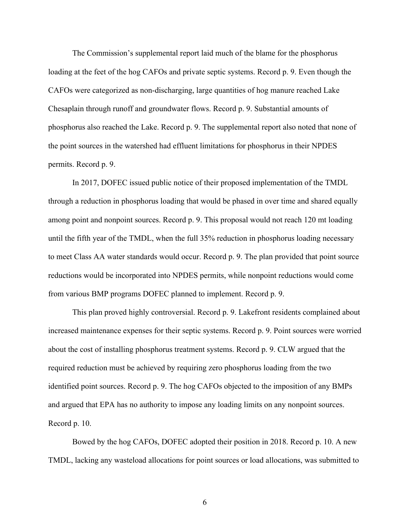The Commission's supplemental report laid much of the blame for the phosphorus loading at the feet of the hog CAFOs and private septic systems. Record p. 9. Even though the CAFOs were categorized as non-discharging, large quantities of hog manure reached Lake Chesaplain through runoff and groundwater flows. Record p. 9. Substantial amounts of phosphorus also reached the Lake. Record p. 9. The supplemental report also noted that none of the point sources in the watershed had effluent limitations for phosphorus in their NPDES permits. Record p. 9.

In 2017, DOFEC issued public notice of their proposed implementation of the TMDL through a reduction in phosphorus loading that would be phased in over time and shared equally among point and nonpoint sources. Record p. 9. This proposal would not reach 120 mt loading until the fifth year of the TMDL, when the full 35% reduction in phosphorus loading necessary to meet Class AA water standards would occur. Record p. 9. The plan provided that point source reductions would be incorporated into NPDES permits, while nonpoint reductions would come from various BMP programs DOFEC planned to implement. Record p. 9.

This plan proved highly controversial. Record p. 9. Lakefront residents complained about increased maintenance expenses for their septic systems. Record p. 9. Point sources were worried about the cost of installing phosphorus treatment systems. Record p. 9. CLW argued that the required reduction must be achieved by requiring zero phosphorus loading from the two identified point sources. Record p. 9. The hog CAFOs objected to the imposition of any BMPs and argued that EPA has no authority to impose any loading limits on any nonpoint sources. Record p. 10.

Bowed by the hog CAFOs, DOFEC adopted their position in 2018. Record p. 10. A new TMDL, lacking any wasteload allocations for point sources or load allocations, was submitted to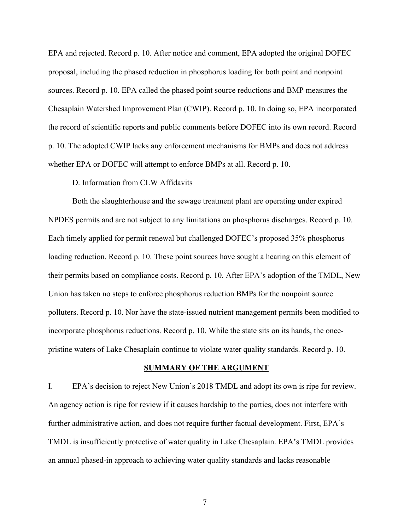EPA and rejected. Record p. 10. After notice and comment, EPA adopted the original DOFEC proposal, including the phased reduction in phosphorus loading for both point and nonpoint sources. Record p. 10. EPA called the phased point source reductions and BMP measures the Chesaplain Watershed Improvement Plan (CWIP). Record p. 10. In doing so, EPA incorporated the record of scientific reports and public comments before DOFEC into its own record. Record p. 10. The adopted CWIP lacks any enforcement mechanisms for BMPs and does not address whether EPA or DOFEC will attempt to enforce BMPs at all. Record p. 10.

### D. Information from CLW Affidavits

Both the slaughterhouse and the sewage treatment plant are operating under expired NPDES permits and are not subject to any limitations on phosphorus discharges. Record p. 10. Each timely applied for permit renewal but challenged DOFEC's proposed 35% phosphorus loading reduction. Record p. 10. These point sources have sought a hearing on this element of their permits based on compliance costs. Record p. 10. After EPA's adoption of the TMDL, New Union has taken no steps to enforce phosphorus reduction BMPs for the nonpoint source polluters. Record p. 10. Nor have the state-issued nutrient management permits been modified to incorporate phosphorus reductions. Record p. 10. While the state sits on its hands, the oncepristine waters of Lake Chesaplain continue to violate water quality standards. Record p. 10.

### **SUMMARY OF THE ARGUMENT**

I. EPA's decision to reject New Union's 2018 TMDL and adopt its own is ripe for review. An agency action is ripe for review if it causes hardship to the parties, does not interfere with further administrative action, and does not require further factual development. First, EPA's TMDL is insufficiently protective of water quality in Lake Chesaplain. EPA's TMDL provides an annual phased-in approach to achieving water quality standards and lacks reasonable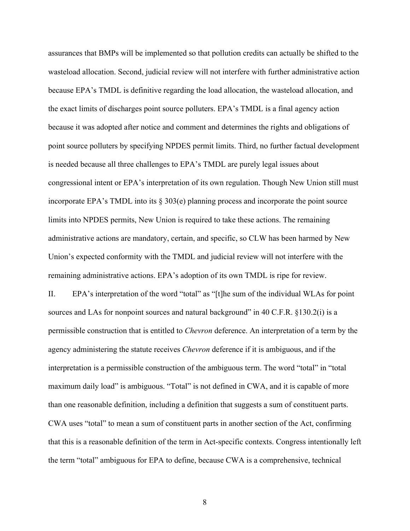assurances that BMPs will be implemented so that pollution credits can actually be shifted to the wasteload allocation. Second, judicial review will not interfere with further administrative action because EPA's TMDL is definitive regarding the load allocation, the wasteload allocation, and the exact limits of discharges point source polluters. EPA's TMDL is a final agency action because it was adopted after notice and comment and determines the rights and obligations of point source polluters by specifying NPDES permit limits. Third, no further factual development is needed because all three challenges to EPA's TMDL are purely legal issues about congressional intent or EPA's interpretation of its own regulation. Though New Union still must incorporate EPA's TMDL into its § 303(e) planning process and incorporate the point source limits into NPDES permits, New Union is required to take these actions. The remaining administrative actions are mandatory, certain, and specific, so CLW has been harmed by New Union's expected conformity with the TMDL and judicial review will not interfere with the remaining administrative actions. EPA's adoption of its own TMDL is ripe for review.

II. EPA's interpretation of the word "total" as "[t]he sum of the individual WLAs for point sources and LAs for nonpoint sources and natural background" in 40 C.F.R. §130.2(i) is a permissible construction that is entitled to *Chevron* deference. An interpretation of a term by the agency administering the statute receives *Chevron* deference if it is ambiguous, and if the interpretation is a permissible construction of the ambiguous term. The word "total" in "total maximum daily load" is ambiguous. "Total" is not defined in CWA, and it is capable of more than one reasonable definition, including a definition that suggests a sum of constituent parts. CWA uses "total" to mean a sum of constituent parts in another section of the Act, confirming that this is a reasonable definition of the term in Act-specific contexts. Congress intentionally left the term "total" ambiguous for EPA to define, because CWA is a comprehensive, technical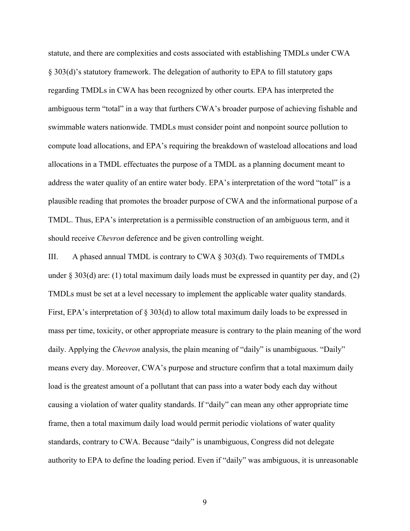statute, and there are complexities and costs associated with establishing TMDLs under CWA § 303(d)'s statutory framework. The delegation of authority to EPA to fill statutory gaps regarding TMDLs in CWA has been recognized by other courts. EPA has interpreted the ambiguous term "total" in a way that furthers CWA's broader purpose of achieving fishable and swimmable waters nationwide. TMDLs must consider point and nonpoint source pollution to compute load allocations, and EPA's requiring the breakdown of wasteload allocations and load allocations in a TMDL effectuates the purpose of a TMDL as a planning document meant to address the water quality of an entire water body. EPA's interpretation of the word "total" is a plausible reading that promotes the broader purpose of CWA and the informational purpose of a TMDL. Thus, EPA's interpretation is a permissible construction of an ambiguous term, and it should receive *Chevron* deference and be given controlling weight.

III. A phased annual TMDL is contrary to CWA § 303(d). Two requirements of TMDLs under  $\S 303(d)$  are: (1) total maximum daily loads must be expressed in quantity per day, and (2) TMDLs must be set at a level necessary to implement the applicable water quality standards. First, EPA's interpretation of § 303(d) to allow total maximum daily loads to be expressed in mass per time, toxicity, or other appropriate measure is contrary to the plain meaning of the word daily. Applying the *Chevron* analysis, the plain meaning of "daily" is unambiguous. "Daily" means every day. Moreover, CWA's purpose and structure confirm that a total maximum daily load is the greatest amount of a pollutant that can pass into a water body each day without causing a violation of water quality standards. If "daily" can mean any other appropriate time frame, then a total maximum daily load would permit periodic violations of water quality standards, contrary to CWA. Because "daily" is unambiguous, Congress did not delegate authority to EPA to define the loading period. Even if "daily" was ambiguous, it is unreasonable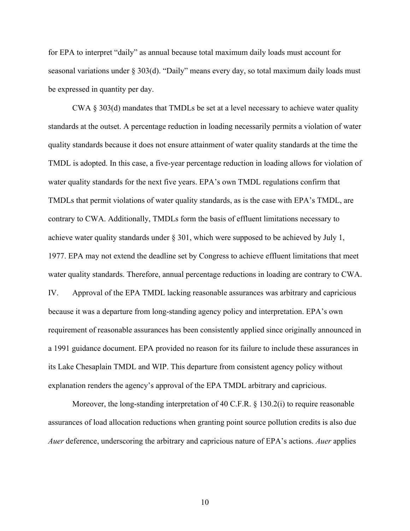for EPA to interpret "daily" as annual because total maximum daily loads must account for seasonal variations under § 303(d). "Daily" means every day, so total maximum daily loads must be expressed in quantity per day.

CWA § 303(d) mandates that TMDLs be set at a level necessary to achieve water quality standards at the outset. A percentage reduction in loading necessarily permits a violation of water quality standards because it does not ensure attainment of water quality standards at the time the TMDL is adopted. In this case, a five-year percentage reduction in loading allows for violation of water quality standards for the next five years. EPA's own TMDL regulations confirm that TMDLs that permit violations of water quality standards, as is the case with EPA's TMDL, are contrary to CWA. Additionally, TMDLs form the basis of effluent limitations necessary to achieve water quality standards under § 301, which were supposed to be achieved by July 1, 1977. EPA may not extend the deadline set by Congress to achieve effluent limitations that meet water quality standards. Therefore, annual percentage reductions in loading are contrary to CWA. IV. Approval of the EPA TMDL lacking reasonable assurances was arbitrary and capricious because it was a departure from long-standing agency policy and interpretation. EPA's own requirement of reasonable assurances has been consistently applied since originally announced in a 1991 guidance document. EPA provided no reason for its failure to include these assurances in its Lake Chesaplain TMDL and WIP. This departure from consistent agency policy without explanation renders the agency's approval of the EPA TMDL arbitrary and capricious.

Moreover, the long-standing interpretation of 40 C.F.R. § 130.2(i) to require reasonable assurances of load allocation reductions when granting point source pollution credits is also due *Auer* deference, underscoring the arbitrary and capricious nature of EPA's actions. *Auer* applies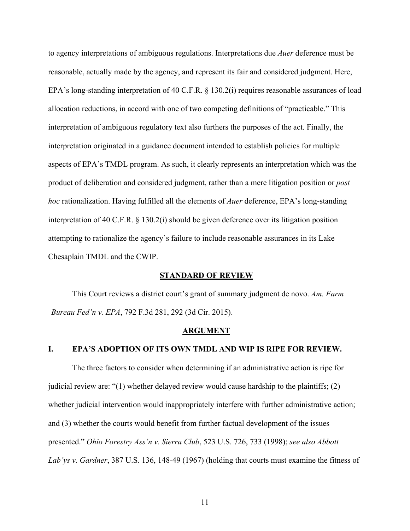to agency interpretations of ambiguous regulations. Interpretations due *Auer* deference must be reasonable, actually made by the agency, and represent its fair and considered judgment. Here, EPA's long-standing interpretation of 40 C.F.R. § 130.2(i) requires reasonable assurances of load allocation reductions, in accord with one of two competing definitions of "practicable." This interpretation of ambiguous regulatory text also furthers the purposes of the act. Finally, the interpretation originated in a guidance document intended to establish policies for multiple aspects of EPA's TMDL program. As such, it clearly represents an interpretation which was the product of deliberation and considered judgment, rather than a mere litigation position or *post hoc* rationalization. Having fulfilled all the elements of *Auer* deference, EPA's long-standing interpretation of 40 C.F.R. § 130.2(i) should be given deference over its litigation position attempting to rationalize the agency's failure to include reasonable assurances in its Lake Chesaplain TMDL and the CWIP.

#### **STANDARD OF REVIEW**

This Court reviews a district court's grant of summary judgment de novo. *Am. Farm Bureau Fed'n v. EPA*, 792 F.3d 281, 292 (3d Cir. 2015).

#### **ARGUMENT**

#### **I. EPA'S ADOPTION OF ITS OWN TMDL AND WIP IS RIPE FOR REVIEW.**

The three factors to consider when determining if an administrative action is ripe for judicial review are: "(1) whether delayed review would cause hardship to the plaintiffs; (2) whether judicial intervention would inappropriately interfere with further administrative action; and (3) whether the courts would benefit from further factual development of the issues presented." *Ohio Forestry Ass'n v. Sierra Club*, 523 U.S. 726, 733 (1998); *see also Abbott Lab'ys v. Gardner*, 387 U.S. 136, 148-49 (1967) (holding that courts must examine the fitness of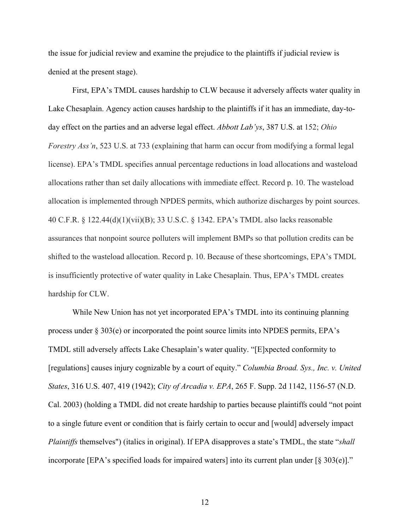the issue for judicial review and examine the prejudice to the plaintiffs if judicial review is denied at the present stage).

First, EPA's TMDL causes hardship to CLW because it adversely affects water quality in Lake Chesaplain. Agency action causes hardship to the plaintiffs if it has an immediate, day-today effect on the parties and an adverse legal effect. *Abbott Lab'ys*, 387 U.S. at 152; *Ohio Forestry Ass'n*, 523 U.S. at 733 (explaining that harm can occur from modifying a formal legal license). EPA's TMDL specifies annual percentage reductions in load allocations and wasteload allocations rather than set daily allocations with immediate effect. Record p. 10. The wasteload allocation is implemented through NPDES permits, which authorize discharges by point sources. 40 C.F.R. § 122.44(d)(1)(vii)(B); 33 U.S.C. § 1342. EPA's TMDL also lacks reasonable assurances that nonpoint source polluters will implement BMPs so that pollution credits can be shifted to the wasteload allocation. Record p. 10. Because of these shortcomings, EPA's TMDL is insufficiently protective of water quality in Lake Chesaplain. Thus, EPA's TMDL creates hardship for CLW.

While New Union has not yet incorporated EPA's TMDL into its continuing planning process under § 303(e) or incorporated the point source limits into NPDES permits, EPA's TMDL still adversely affects Lake Chesaplain's water quality. "[E]xpected conformity to [regulations] causes injury cognizable by a court of equity." *Columbia Broad. Sys., Inc. v. United States*, 316 U.S. 407, 419 (1942); *City of Arcadia v. EPA*, 265 F. Supp. 2d 1142, 1156-57 (N.D. Cal. 2003) (holding a TMDL did not create hardship to parties because plaintiffs could "not point to a single future event or condition that is fairly certain to occur and [would] adversely impact *Plaintiffs* themselves") (italics in original). If EPA disapproves a state's TMDL, the state "*shall* incorporate [EPA's specified loads for impaired waters] into its current plan under [§ 303(e)]."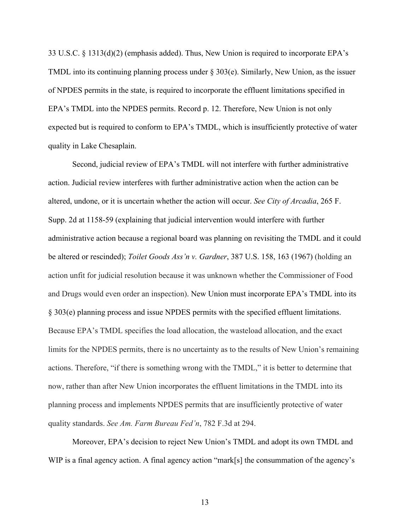33 U.S.C. § 1313(d)(2) (emphasis added). Thus, New Union is required to incorporate EPA's TMDL into its continuing planning process under  $\S 303(e)$ . Similarly, New Union, as the issuer of NPDES permits in the state, is required to incorporate the effluent limitations specified in EPA's TMDL into the NPDES permits. Record p. 12. Therefore, New Union is not only expected but is required to conform to EPA's TMDL, which is insufficiently protective of water quality in Lake Chesaplain.

Second, judicial review of EPA's TMDL will not interfere with further administrative action. Judicial review interferes with further administrative action when the action can be altered, undone, or it is uncertain whether the action will occur. *See City of Arcadia*, 265 F. Supp. 2d at 1158-59 (explaining that judicial intervention would interfere with further administrative action because a regional board was planning on revisiting the TMDL and it could be altered or rescinded); *Toilet Goods Ass'n v. Gardner*, 387 U.S. 158, 163 (1967) (holding an action unfit for judicial resolution because it was unknown whether the Commissioner of Food and Drugs would even order an inspection). New Union must incorporate EPA's TMDL into its § 303(e) planning process and issue NPDES permits with the specified effluent limitations. Because EPA's TMDL specifies the load allocation, the wasteload allocation, and the exact limits for the NPDES permits, there is no uncertainty as to the results of New Union's remaining actions. Therefore, "if there is something wrong with the TMDL," it is better to determine that now, rather than after New Union incorporates the effluent limitations in the TMDL into its planning process and implements NPDES permits that are insufficiently protective of water quality standards. *See Am. Farm Bureau Fed'n*, 782 F.3d at 294.

Moreover, EPA's decision to reject New Union's TMDL and adopt its own TMDL and WIP is a final agency action. A final agency action "mark[s] the consummation of the agency's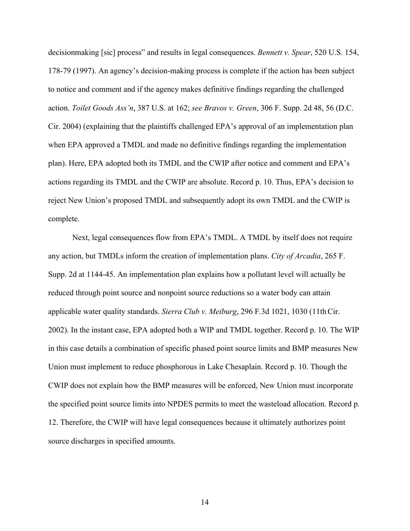decisionmaking [sic] process" and results in legal consequences. *Bennett v. Spear*, 520 U.S. 154, 178-79 (1997). An agency's decision-making process is complete if the action has been subject to notice and comment and if the agency makes definitive findings regarding the challenged action. *Toilet Goods Ass'n*, 387 U.S. at 162; *see Bravos v. Green*, 306 F. Supp. 2d 48, 56 (D.C. Cir. 2004) (explaining that the plaintiffs challenged EPA's approval of an implementation plan when EPA approved a TMDL and made no definitive findings regarding the implementation plan). Here, EPA adopted both its TMDL and the CWIP after notice and comment and EPA's actions regarding its TMDL and the CWIP are absolute. Record p. 10. Thus, EPA's decision to reject New Union's proposed TMDL and subsequently adopt its own TMDL and the CWIP is complete.

Next, legal consequences flow from EPA's TMDL. A TMDL by itself does not require any action, but TMDLs inform the creation of implementation plans. *City of Arcadia*, 265 F. Supp. 2d at 1144-45. An implementation plan explains how a pollutant level will actually be reduced through point source and nonpoint source reductions so a water body can attain applicable water quality standards. *Sierra Club v. Meiburg*, 296 F.3d 1021, 1030 (11thCir. 2002). In the instant case, EPA adopted both a WIP and TMDL together. Record p. 10. The WIP in this case details a combination of specific phased point source limits and BMP measures New Union must implement to reduce phosphorous in Lake Chesaplain. Record p. 10. Though the CWIP does not explain how the BMP measures will be enforced, New Union must incorporate the specified point source limits into NPDES permits to meet the wasteload allocation. Record p. 12. Therefore, the CWIP will have legal consequences because it ultimately authorizes point source discharges in specified amounts.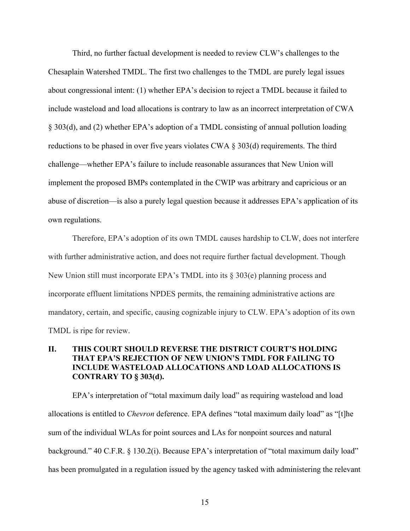Third, no further factual development is needed to review CLW's challenges to the Chesaplain Watershed TMDL. The first two challenges to the TMDL are purely legal issues about congressional intent: (1) whether EPA's decision to reject a TMDL because it failed to include wasteload and load allocations is contrary to law as an incorrect interpretation of CWA § 303(d), and (2) whether EPA's adoption of a TMDL consisting of annual pollution loading reductions to be phased in over five years violates CWA § 303(d) requirements. The third challenge—whether EPA's failure to include reasonable assurances that New Union will implement the proposed BMPs contemplated in the CWIP was arbitrary and capricious or an abuse of discretion—is also a purely legal question because it addresses EPA's application of its own regulations.

Therefore, EPA's adoption of its own TMDL causes hardship to CLW, does not interfere with further administrative action, and does not require further factual development. Though New Union still must incorporate EPA's TMDL into its § 303(e) planning process and incorporate effluent limitations NPDES permits, the remaining administrative actions are mandatory, certain, and specific, causing cognizable injury to CLW. EPA's adoption of its own TMDL is ripe for review.

## **II. THIS COURT SHOULD REVERSE THE DISTRICT COURT'S HOLDING THAT EPA'S REJECTION OF NEW UNION'S TMDL FOR FAILING TO INCLUDE WASTELOAD ALLOCATIONS AND LOAD ALLOCATIONS IS CONTRARY TO § 303(d).**

EPA's interpretation of "total maximum daily load" as requiring wasteload and load allocations is entitled to *Chevron* deference. EPA defines "total maximum daily load" as "[t]he sum of the individual WLAs for point sources and LAs for nonpoint sources and natural background." 40 C.F.R. § 130.2(i). Because EPA's interpretation of "total maximum daily load" has been promulgated in a regulation issued by the agency tasked with administering the relevant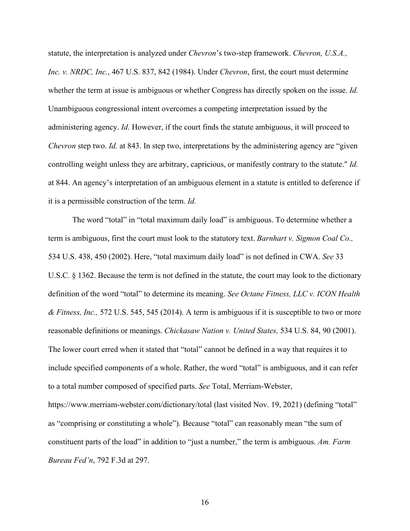statute, the interpretation is analyzed under *Chevron*'s two-step framework. *Chevron, U.S.A., Inc. v. NRDC, Inc.*, 467 U.S. 837, 842 (1984). Under *Chevron*, first, the court must determine whether the term at issue is ambiguous or whether Congress has directly spoken on the issue. *Id.* Unambiguous congressional intent overcomes a competing interpretation issued by the administering agency. *Id*. However, if the court finds the statute ambiguous, it will proceed to *Chevron* step two. *Id.* at 843. In step two, interpretations by the administering agency are "given controlling weight unless they are arbitrary, capricious, or manifestly contrary to the statute." *Id.* at 844. An agency's interpretation of an ambiguous element in a statute is entitled to deference if it is a permissible construction of the term. *Id.* 

The word "total" in "total maximum daily load" is ambiguous. To determine whether a term is ambiguous, first the court must look to the statutory text. *Barnhart v. Sigmon Coal Co.,*  534 U.S. 438, 450 (2002). Here, "total maximum daily load" is not defined in CWA. *See* 33 U.S.C. § 1362. Because the term is not defined in the statute, the court may look to the dictionary definition of the word "total" to determine its meaning. *See Octane Fitness, LLC v. ICON Health & Fitness, Inc.,* 572 U.S. 545, 545 (2014). A term is ambiguous if it is susceptible to two or more reasonable definitions or meanings. *Chickasaw Nation v. United States,* 534 U.S. 84, 90 (2001). The lower court erred when it stated that "total" cannot be defined in a way that requires it to include specified components of a whole. Rather, the word "total" is ambiguous, and it can refer to a total number composed of specified parts. *See* Total, Merriam-Webster, https://www.merriam-webster.com/dictionary/total (last visited Nov. 19, 2021) (defining "total" as "comprising or constituting a whole"). Because "total" can reasonably mean "the sum of constituent parts of the load" in addition to "just a number," the term is ambiguous. *Am. Farm Bureau Fed'n*, 792 F.3d at 297.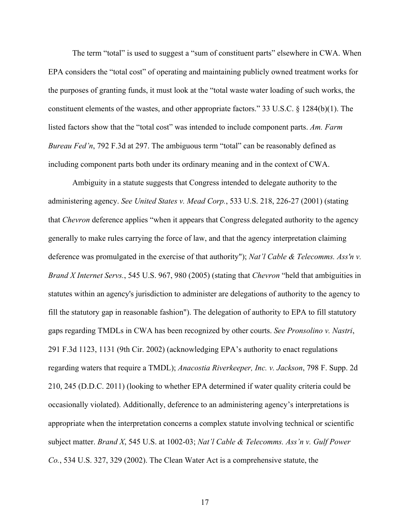The term "total" is used to suggest a "sum of constituent parts" elsewhere in CWA. When EPA considers the "total cost" of operating and maintaining publicly owned treatment works for the purposes of granting funds, it must look at the "total waste water loading of such works, the constituent elements of the wastes, and other appropriate factors." 33 U.S.C. § 1284(b)(1). The listed factors show that the "total cost" was intended to include component parts. *Am. Farm Bureau Fed'n*, 792 F.3d at 297. The ambiguous term "total" can be reasonably defined as including component parts both under its ordinary meaning and in the context of CWA.

Ambiguity in a statute suggests that Congress intended to delegate authority to the administering agency. *See United States v. Mead Corp.*, 533 U.S. 218, 226-27 (2001) (stating that *Chevron* deference applies "when it appears that Congress delegated authority to the agency generally to make rules carrying the force of law, and that the agency interpretation claiming deference was promulgated in the exercise of that authority"); *Nat'l Cable & Telecomms. Ass'n v. Brand X Internet Servs.*, 545 U.S. 967, 980 (2005) (stating that *Chevron* "held that ambiguities in statutes within an agency's jurisdiction to administer are delegations of authority to the agency to fill the statutory gap in reasonable fashion"). The delegation of authority to EPA to fill statutory gaps regarding TMDLs in CWA has been recognized by other courts. *See Pronsolino v. Nastri*, 291 F.3d 1123, 1131 (9th Cir. 2002) (acknowledging EPA's authority to enact regulations regarding waters that require a TMDL); *Anacostia Riverkeeper, Inc. v. Jackson*, 798 F. Supp. 2d 210, 245 (D.D.C. 2011) (looking to whether EPA determined if water quality criteria could be occasionally violated). Additionally, deference to an administering agency's interpretations is appropriate when the interpretation concerns a complex statute involving technical or scientific subject matter. *Brand X*, 545 U.S. at 1002-03; *Nat'l Cable & Telecomms. Ass'n v. Gulf Power Co.*, 534 U.S. 327, 329 (2002). The Clean Water Act is a comprehensive statute, the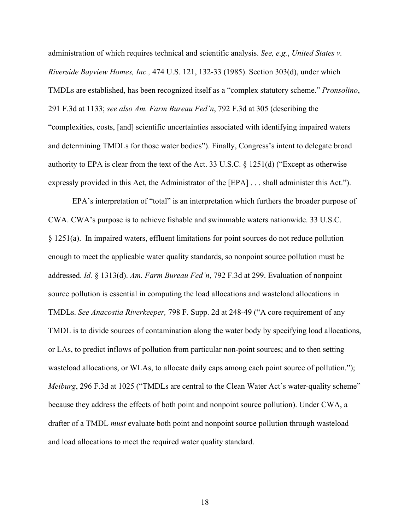administration of which requires technical and scientific analysis. *See, e.g.*, *United States v. Riverside Bayview Homes, Inc.,* 474 U.S. 121, 132-33 (1985). Section 303(d), under which TMDLs are established, has been recognized itself as a "complex statutory scheme." *Pronsolino*, 291 F.3d at 1133; *see also Am. Farm Bureau Fed'n*, 792 F.3d at 305 (describing the "complexities, costs, [and] scientific uncertainties associated with identifying impaired waters and determining TMDLs for those water bodies"). Finally, Congress's intent to delegate broad authority to EPA is clear from the text of the Act. 33 U.S.C.  $\S$  1251(d) ("Except as otherwise expressly provided in this Act, the Administrator of the [EPA] . . . shall administer this Act.").

EPA's interpretation of "total" is an interpretation which furthers the broader purpose of CWA. CWA's purpose is to achieve fishable and swimmable waters nationwide. 33 U.S.C. § 1251(a). In impaired waters, effluent limitations for point sources do not reduce pollution enough to meet the applicable water quality standards, so nonpoint source pollution must be addressed. *Id.* § 1313(d). *Am. Farm Bureau Fed'n*, 792 F.3d at 299. Evaluation of nonpoint source pollution is essential in computing the load allocations and wasteload allocations in TMDLs. *See Anacostia Riverkeeper,* 798 F. Supp. 2d at 248-49 ("A core requirement of any TMDL is to divide sources of contamination along the water body by specifying load allocations, or LAs, to predict inflows of pollution from particular non-point sources; and to then setting wasteload allocations, or WLAs, to allocate daily caps among each point source of pollution."); *Meiburg*, 296 F.3d at 1025 ("TMDLs are central to the Clean Water Act's water-quality scheme" because they address the effects of both point and nonpoint source pollution). Under CWA, a drafter of a TMDL *must* evaluate both point and nonpoint source pollution through wasteload and load allocations to meet the required water quality standard.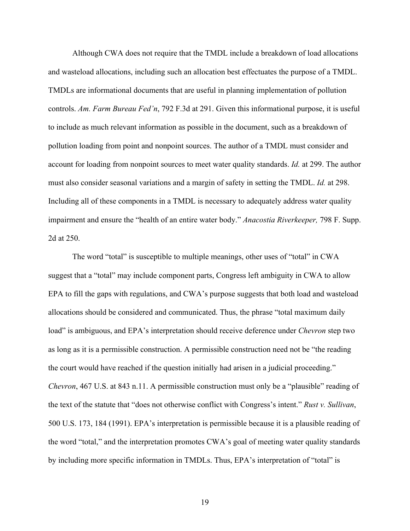Although CWA does not require that the TMDL include a breakdown of load allocations and wasteload allocations, including such an allocation best effectuates the purpose of a TMDL. TMDLs are informational documents that are useful in planning implementation of pollution controls. *Am. Farm Bureau Fed'n*, 792 F.3d at 291. Given this informational purpose, it is useful to include as much relevant information as possible in the document, such as a breakdown of pollution loading from point and nonpoint sources. The author of a TMDL must consider and account for loading from nonpoint sources to meet water quality standards. *Id.* at 299. The author must also consider seasonal variations and a margin of safety in setting the TMDL. *Id.* at 298. Including all of these components in a TMDL is necessary to adequately address water quality impairment and ensure the "health of an entire water body." *Anacostia Riverkeeper,* 798 F. Supp. 2d at 250.

The word "total" is susceptible to multiple meanings, other uses of "total" in CWA suggest that a "total" may include component parts, Congress left ambiguity in CWA to allow EPA to fill the gaps with regulations, and CWA's purpose suggests that both load and wasteload allocations should be considered and communicated. Thus, the phrase "total maximum daily load" is ambiguous, and EPA's interpretation should receive deference under *Chevron* step two as long as it is a permissible construction. A permissible construction need not be "the reading the court would have reached if the question initially had arisen in a judicial proceeding." *Chevron*, 467 U.S. at 843 n.11. A permissible construction must only be a "plausible" reading of the text of the statute that "does not otherwise conflict with Congress's intent." *Rust v. Sullivan*, 500 U.S. 173, 184 (1991). EPA's interpretation is permissible because it is a plausible reading of the word "total," and the interpretation promotes CWA's goal of meeting water quality standards by including more specific information in TMDLs. Thus, EPA's interpretation of "total" is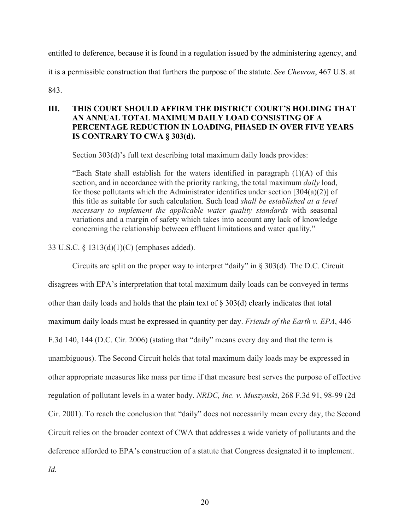entitled to deference, because it is found in a regulation issued by the administering agency, and it is a permissible construction that furthers the purpose of the statute. *See Chevron*, 467 U.S. at

843.

## **III. THIS COURT SHOULD AFFIRM THE DISTRICT COURT'S HOLDING THAT AN ANNUAL TOTAL MAXIMUM DAILY LOAD CONSISTING OF A PERCENTAGE REDUCTION IN LOADING, PHASED IN OVER FIVE YEARS IS CONTRARY TO CWA § 303(d).**

Section 303(d)'s full text describing total maximum daily loads provides:

"Each State shall establish for the waters identified in paragraph (1)(A) of this section, and in accordance with the priority ranking, the total maximum *daily* load, for those pollutants which the Administrator identifies under section  $[304(a)(2)]$  of this title as suitable for such calculation. Such load *shall be established at a level necessary to implement the applicable water quality standards* with seasonal variations and a margin of safety which takes into account any lack of knowledge concerning the relationship between effluent limitations and water quality."

33 U.S.C. § 1313(d)(1)(C) (emphases added).

Circuits are split on the proper way to interpret "daily" in § 303(d). The D.C. Circuit disagrees with EPA's interpretation that total maximum daily loads can be conveyed in terms other than daily loads and holds that the plain text of § 303(d) clearly indicates that total maximum daily loads must be expressed in quantity per day. *Friends of the Earth v. EPA*, 446 F.3d 140, 144 (D.C. Cir. 2006) (stating that "daily" means every day and that the term is unambiguous). The Second Circuit holds that total maximum daily loads may be expressed in other appropriate measures like mass per time if that measure best serves the purpose of effective regulation of pollutant levels in a water body. *NRDC, Inc. v. Muszynski*, 268 F.3d 91, 98-99 (2d Cir. 2001). To reach the conclusion that "daily" does not necessarily mean every day, the Second Circuit relies on the broader context of CWA that addresses a wide variety of pollutants and the deference afforded to EPA's construction of a statute that Congress designated it to implement. *Id.*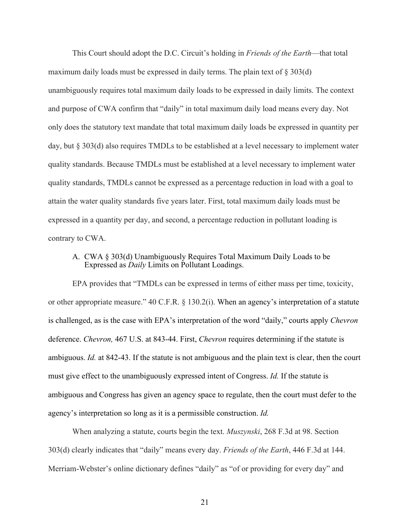This Court should adopt the D.C. Circuit's holding in *Friends of the Earth*—that total maximum daily loads must be expressed in daily terms. The plain text of  $\S 303(d)$ unambiguously requires total maximum daily loads to be expressed in daily limits. The context and purpose of CWA confirm that "daily" in total maximum daily load means every day. Not only does the statutory text mandate that total maximum daily loads be expressed in quantity per day, but § 303(d) also requires TMDLs to be established at a level necessary to implement water quality standards. Because TMDLs must be established at a level necessary to implement water quality standards, TMDLs cannot be expressed as a percentage reduction in load with a goal to attain the water quality standards five years later. First, total maximum daily loads must be expressed in a quantity per day, and second, a percentage reduction in pollutant loading is contrary to CWA.

### A. CWA § 303(d) Unambiguously Requires Total Maximum Daily Loads to be Expressed as *Daily* Limits on Pollutant Loadings.

EPA provides that "TMDLs can be expressed in terms of either mass per time, toxicity, or other appropriate measure." 40 C.F.R. § 130.2(i). When an agency's interpretation of a statute is challenged, as is the case with EPA's interpretation of the word "daily," courts apply *Chevron* deference. *Chevron,* 467 U.S. at 843-44. First, *Chevron* requires determining if the statute is ambiguous. *Id.* at 842-43. If the statute is not ambiguous and the plain text is clear, then the court must give effect to the unambiguously expressed intent of Congress. *Id.* If the statute is ambiguous and Congress has given an agency space to regulate, then the court must defer to the agency's interpretation so long as it is a permissible construction. *Id.*

When analyzing a statute, courts begin the text. *Muszynski*, 268 F.3d at 98. Section 303(d) clearly indicates that "daily" means every day. *Friends of the Earth*, 446 F.3d at 144. Merriam-Webster's online dictionary defines "daily" as "of or providing for every day" and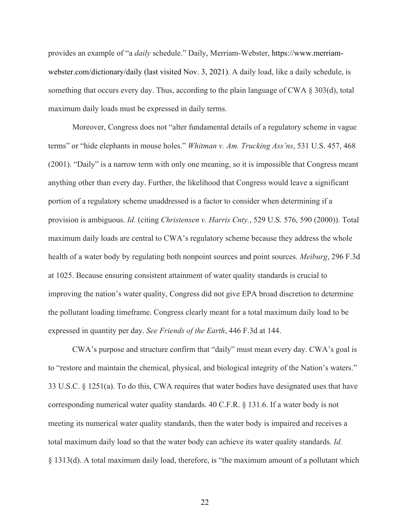provides an example of "a *daily* schedule." Daily, Merriam-Webster, https://www.merriamwebster.com/dictionary/daily (last visited Nov. 3, 2021). A daily load, like a daily schedule, is something that occurs every day. Thus, according to the plain language of CWA  $\S 303(d)$ , total maximum daily loads must be expressed in daily terms.

Moreover, Congress does not "alter fundamental details of a regulatory scheme in vague terms" or "hide elephants in mouse holes." *Whitman v. Am. Trucking Ass'ns*, 531 U.S. 457, 468 (2001). "Daily" is a narrow term with only one meaning, so it is impossible that Congress meant anything other than every day. Further, the likelihood that Congress would leave a significant portion of a regulatory scheme unaddressed is a factor to consider when determining if a provision is ambiguous. *Id.* (citing *Christensen v. Harris Cnty.*, 529 U.S. 576, 590 (2000)). Total maximum daily loads are central to CWA's regulatory scheme because they address the whole health of a water body by regulating both nonpoint sources and point sources. *Meiburg*, 296 F.3d at 1025. Because ensuring consistent attainment of water quality standards is crucial to improving the nation's water quality, Congress did not give EPA broad discretion to determine the pollutant loading timeframe. Congress clearly meant for a total maximum daily load to be expressed in quantity per day. *See Friends of the Earth*, 446 F.3d at 144.

CWA's purpose and structure confirm that "daily" must mean every day. CWA's goal is to "restore and maintain the chemical, physical, and biological integrity of the Nation's waters." 33 U.S.C. § 1251(a). To do this, CWA requires that water bodies have designated uses that have corresponding numerical water quality standards. 40 C.F.R. § 131.6. If a water body is not meeting its numerical water quality standards, then the water body is impaired and receives a total maximum daily load so that the water body can achieve its water quality standards. *Id.* § 1313(d). A total maximum daily load, therefore, is "the maximum amount of a pollutant which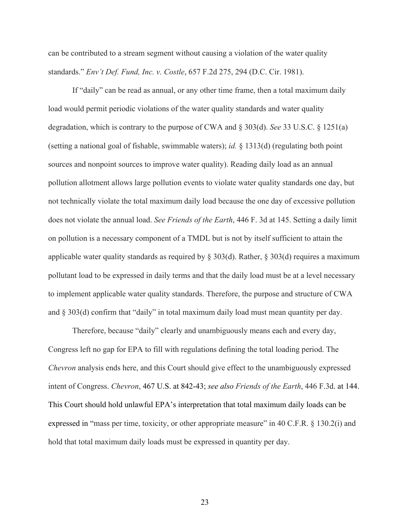can be contributed to a stream segment without causing a violation of the water quality standards." *Env't Def. Fund, Inc. v. Costle*, 657 F.2d 275, 294 (D.C. Cir. 1981).

If "daily" can be read as annual, or any other time frame, then a total maximum daily load would permit periodic violations of the water quality standards and water quality degradation, which is contrary to the purpose of CWA and § 303(d). *See* 33 U.S.C. § 1251(a) (setting a national goal of fishable, swimmable waters); *id.* § 1313(d) (regulating both point sources and nonpoint sources to improve water quality). Reading daily load as an annual pollution allotment allows large pollution events to violate water quality standards one day, but not technically violate the total maximum daily load because the one day of excessive pollution does not violate the annual load. *See Friends of the Earth*, 446 F. 3d at 145. Setting a daily limit on pollution is a necessary component of a TMDL but is not by itself sufficient to attain the applicable water quality standards as required by § 303(d). Rather, § 303(d) requires a maximum pollutant load to be expressed in daily terms and that the daily load must be at a level necessary to implement applicable water quality standards. Therefore, the purpose and structure of CWA and § 303(d) confirm that "daily" in total maximum daily load must mean quantity per day.

Therefore, because "daily" clearly and unambiguously means each and every day, Congress left no gap for EPA to fill with regulations defining the total loading period. The *Chevron* analysis ends here, and this Court should give effect to the unambiguously expressed intent of Congress. *Chevron*, 467 U.S. at 842-43; *see also Friends of the Earth*, 446 F.3d. at 144. This Court should hold unlawful EPA's interpretation that total maximum daily loads can be expressed in "mass per time, toxicity, or other appropriate measure" in 40 C.F.R. § 130.2(i) and hold that total maximum daily loads must be expressed in quantity per day.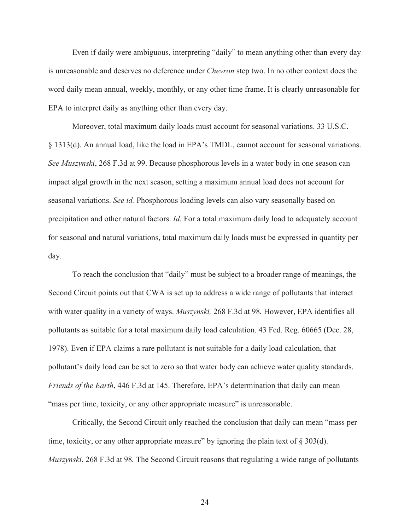Even if daily were ambiguous, interpreting "daily" to mean anything other than every day is unreasonable and deserves no deference under *Chevron* step two. In no other context does the word daily mean annual, weekly, monthly, or any other time frame. It is clearly unreasonable for EPA to interpret daily as anything other than every day.

Moreover, total maximum daily loads must account for seasonal variations. 33 U.S.C. § 1313(d). An annual load, like the load in EPA's TMDL, cannot account for seasonal variations. *See Muszynski*, 268 F.3d at 99. Because phosphorous levels in a water body in one season can impact algal growth in the next season, setting a maximum annual load does not account for seasonal variations. *See id.* Phosphorous loading levels can also vary seasonally based on precipitation and other natural factors. *Id.* For a total maximum daily load to adequately account for seasonal and natural variations, total maximum daily loads must be expressed in quantity per day.

To reach the conclusion that "daily" must be subject to a broader range of meanings, the Second Circuit points out that CWA is set up to address a wide range of pollutants that interact with water quality in a variety of ways. *Muszynski,* 268 F.3d at 98*.* However, EPA identifies all pollutants as suitable for a total maximum daily load calculation. 43 Fed. Reg. 60665 (Dec. 28, 1978). Even if EPA claims a rare pollutant is not suitable for a daily load calculation, that pollutant's daily load can be set to zero so that water body can achieve water quality standards. *Friends of the Earth*, 446 F.3d at 145. Therefore, EPA's determination that daily can mean "mass per time, toxicity, or any other appropriate measure" is unreasonable.

Critically, the Second Circuit only reached the conclusion that daily can mean "mass per time, toxicity, or any other appropriate measure" by ignoring the plain text of  $\S 303(d)$ . *Muszynski*, 268 F.3d at 98*.* The Second Circuit reasons that regulating a wide range of pollutants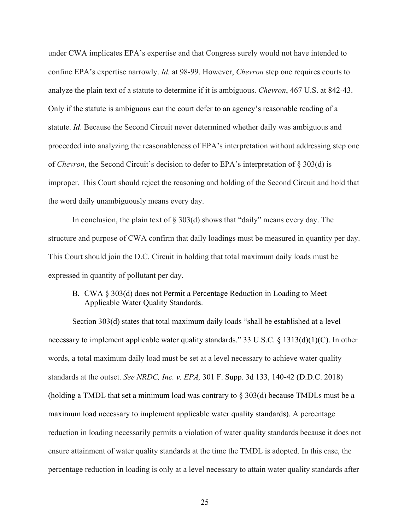under CWA implicates EPA's expertise and that Congress surely would not have intended to confine EPA's expertise narrowly. *Id.* at 98-99. However, *Chevron* step one requires courts to analyze the plain text of a statute to determine if it is ambiguous. *Chevron*, 467 U.S. at 842-43. Only if the statute is ambiguous can the court defer to an agency's reasonable reading of a statute. *Id*. Because the Second Circuit never determined whether daily was ambiguous and proceeded into analyzing the reasonableness of EPA's interpretation without addressing step one of *Chevron*, the Second Circuit's decision to defer to EPA's interpretation of § 303(d) is improper. This Court should reject the reasoning and holding of the Second Circuit and hold that the word daily unambiguously means every day.

In conclusion, the plain text of  $\S 303(d)$  shows that "daily" means every day. The structure and purpose of CWA confirm that daily loadings must be measured in quantity per day. This Court should join the D.C. Circuit in holding that total maximum daily loads must be expressed in quantity of pollutant per day.

### B. CWA § 303(d) does not Permit a Percentage Reduction in Loading to Meet Applicable Water Quality Standards.

Section 303(d) states that total maximum daily loads "shall be established at a level necessary to implement applicable water quality standards." 33 U.S.C. § 1313(d)(1)(C). In other words, a total maximum daily load must be set at a level necessary to achieve water quality standards at the outset. *See NRDC, Inc. v. EPA,* 301 F. Supp. 3d 133, 140-42 (D.D.C. 2018) (holding a TMDL that set a minimum load was contrary to  $\S 303(d)$  because TMDLs must be a maximum load necessary to implement applicable water quality standards). A percentage reduction in loading necessarily permits a violation of water quality standards because it does not ensure attainment of water quality standards at the time the TMDL is adopted. In this case, the percentage reduction in loading is only at a level necessary to attain water quality standards after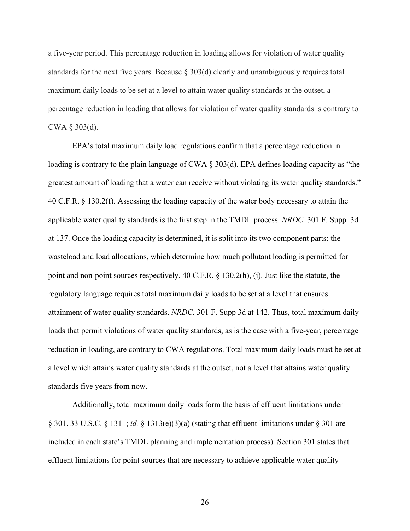a five-year period. This percentage reduction in loading allows for violation of water quality standards for the next five years. Because  $\S 303(d)$  clearly and unambiguously requires total maximum daily loads to be set at a level to attain water quality standards at the outset, a percentage reduction in loading that allows for violation of water quality standards is contrary to CWA § 303(d).

EPA's total maximum daily load regulations confirm that a percentage reduction in loading is contrary to the plain language of CWA § 303(d). EPA defines loading capacity as "the greatest amount of loading that a water can receive without violating its water quality standards." 40 C.F.R. § 130.2(f). Assessing the loading capacity of the water body necessary to attain the applicable water quality standards is the first step in the TMDL process. *NRDC,* 301 F. Supp. 3d at 137. Once the loading capacity is determined, it is split into its two component parts: the wasteload and load allocations, which determine how much pollutant loading is permitted for point and non-point sources respectively. 40 C.F.R. § 130.2(h), (i). Just like the statute, the regulatory language requires total maximum daily loads to be set at a level that ensures attainment of water quality standards. *NRDC,* 301 F. Supp 3d at 142. Thus, total maximum daily loads that permit violations of water quality standards, as is the case with a five-year, percentage reduction in loading, are contrary to CWA regulations. Total maximum daily loads must be set at a level which attains water quality standards at the outset, not a level that attains water quality standards five years from now.

Additionally, total maximum daily loads form the basis of effluent limitations under § 301. 33 U.S.C. § 1311; *id.* § 1313(e)(3)(a) (stating that effluent limitations under § 301 are included in each state's TMDL planning and implementation process). Section 301 states that effluent limitations for point sources that are necessary to achieve applicable water quality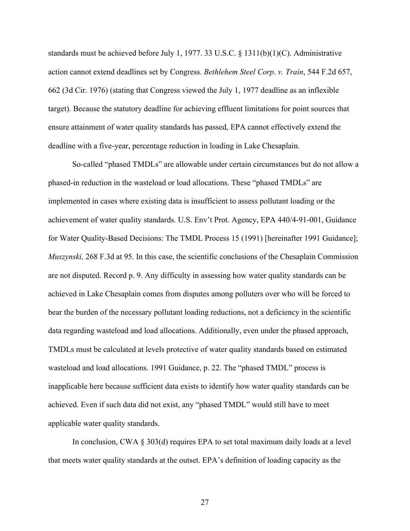standards must be achieved before July 1, 1977. 33 U.S.C. § 1311(b)(1)(C). Administrative action cannot extend deadlines set by Congress. *Bethlehem Steel Corp*. *v. Train*, 544 F.2d 657, 662 (3d Cir. 1976) (stating that Congress viewed the July 1, 1977 deadline as an inflexible target). Because the statutory deadline for achieving effluent limitations for point sources that ensure attainment of water quality standards has passed, EPA cannot effectively extend the deadline with a five-year, percentage reduction in loading in Lake Chesaplain.

So-called "phased TMDLs" are allowable under certain circumstances but do not allow a phased-in reduction in the wasteload or load allocations. These "phased TMDLs" are implemented in cases where existing data is insufficient to assess pollutant loading or the achievement of water quality standards. U.S. Env't Prot. Agency, EPA 440/4-91-001, Guidance for Water Quality-Based Decisions: The TMDL Process 15 (1991) [hereinafter 1991 Guidance]; *Muszynski,* 268 F.3d at 95. In this case, the scientific conclusions of the Chesaplain Commission are not disputed. Record p. 9. Any difficulty in assessing how water quality standards can be achieved in Lake Chesaplain comes from disputes among polluters over who will be forced to bear the burden of the necessary pollutant loading reductions, not a deficiency in the scientific data regarding wasteload and load allocations. Additionally, even under the phased approach, TMDLs must be calculated at levels protective of water quality standards based on estimated wasteload and load allocations. 1991 Guidance, p. 22. The "phased TMDL" process is inapplicable here because sufficient data exists to identify how water quality standards can be achieved. Even if such data did not exist, any "phased TMDL" would still have to meet applicable water quality standards.

In conclusion, CWA § 303(d) requires EPA to set total maximum daily loads at a level that meets water quality standards at the outset. EPA's definition of loading capacity as the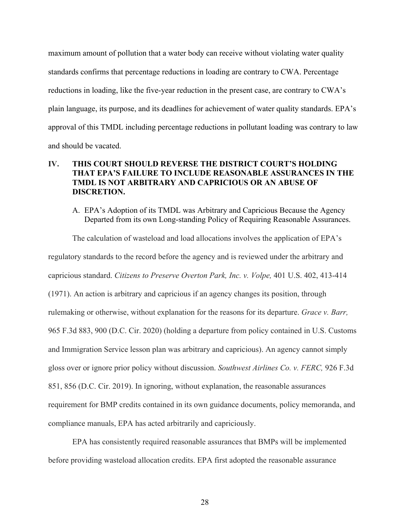maximum amount of pollution that a water body can receive without violating water quality standards confirms that percentage reductions in loading are contrary to CWA. Percentage reductions in loading, like the five-year reduction in the present case, are contrary to CWA's plain language, its purpose, and its deadlines for achievement of water quality standards. EPA's approval of this TMDL including percentage reductions in pollutant loading was contrary to law and should be vacated.

## **IV. THIS COURT SHOULD REVERSE THE DISTRICT COURT'S HOLDING THAT EPA'S FAILURE TO INCLUDE REASONABLE ASSURANCES IN THE TMDL IS NOT ARBITRARY AND CAPRICIOUS OR AN ABUSE OF DISCRETION.**

A. EPA's Adoption of its TMDL was Arbitrary and Capricious Because the Agency Departed from its own Long-standing Policy of Requiring Reasonable Assurances.

The calculation of wasteload and load allocations involves the application of EPA's regulatory standards to the record before the agency and is reviewed under the arbitrary and capricious standard. *Citizens to Preserve Overton Park, Inc. v. Volpe,* 401 U.S. 402, 413-414 (1971). An action is arbitrary and capricious if an agency changes its position, through rulemaking or otherwise, without explanation for the reasons for its departure. *Grace v. Barr,*  965 F.3d 883, 900 (D.C. Cir. 2020) (holding a departure from policy contained in U.S. Customs and Immigration Service lesson plan was arbitrary and capricious). An agency cannot simply gloss over or ignore prior policy without discussion. *Southwest Airlines Co. v. FERC,* 926 F.3d 851, 856 (D.C. Cir. 2019). In ignoring, without explanation, the reasonable assurances requirement for BMP credits contained in its own guidance documents, policy memoranda, and compliance manuals, EPA has acted arbitrarily and capriciously.

EPA has consistently required reasonable assurances that BMPs will be implemented before providing wasteload allocation credits. EPA first adopted the reasonable assurance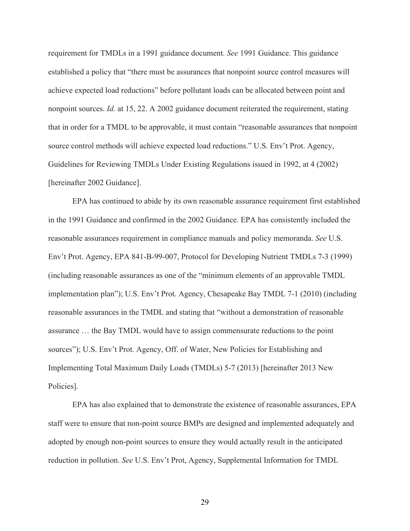requirement for TMDLs in a 1991 guidance document. *See* 1991 Guidance. This guidance established a policy that "there must be assurances that nonpoint source control measures will achieve expected load reductions" before pollutant loads can be allocated between point and nonpoint sources. *Id.* at 15, 22. A 2002 guidance document reiterated the requirement, stating that in order for a TMDL to be approvable, it must contain "reasonable assurances that nonpoint source control methods will achieve expected load reductions." U.S. Env't Prot. Agency, Guidelines for Reviewing TMDLs Under Existing Regulations issued in 1992, at 4 (2002) [hereinafter 2002 Guidance].

EPA has continued to abide by its own reasonable assurance requirement first established in the 1991 Guidance and confirmed in the 2002 Guidance. EPA has consistently included the reasonable assurances requirement in compliance manuals and policy memoranda. *See* U.S. Env't Prot. Agency, EPA 841-B-99-007, Protocol for Developing Nutrient TMDLs 7-3 (1999) (including reasonable assurances as one of the "minimum elements of an approvable TMDL implementation plan"); U.S. Env't Prot. Agency, Chesapeake Bay TMDL 7-1 (2010) (including reasonable assurances in the TMDL and stating that "without a demonstration of reasonable assurance … the Bay TMDL would have to assign commensurate reductions to the point sources"); U.S. Env't Prot. Agency, Off. of Water, New Policies for Establishing and Implementing Total Maximum Daily Loads (TMDLs) 5-7 (2013) [hereinafter 2013 New Policies].

EPA has also explained that to demonstrate the existence of reasonable assurances, EPA staff were to ensure that non-point source BMPs are designed and implemented adequately and adopted by enough non-point sources to ensure they would actually result in the anticipated reduction in pollution. *See* U.S. Env't Prot, Agency, Supplemental Information for TMDL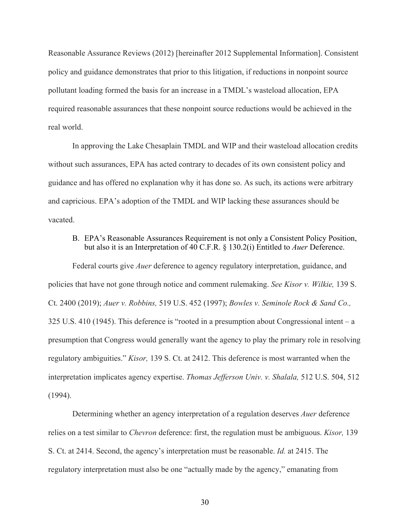Reasonable Assurance Reviews (2012) [hereinafter 2012 Supplemental Information]. Consistent policy and guidance demonstrates that prior to this litigation, if reductions in nonpoint source pollutant loading formed the basis for an increase in a TMDL's wasteload allocation, EPA required reasonable assurances that these nonpoint source reductions would be achieved in the real world.

In approving the Lake Chesaplain TMDL and WIP and their wasteload allocation credits without such assurances, EPA has acted contrary to decades of its own consistent policy and guidance and has offered no explanation why it has done so. As such, its actions were arbitrary and capricious. EPA's adoption of the TMDL and WIP lacking these assurances should be vacated.

## B. EPA's Reasonable Assurances Requirement is not only a Consistent Policy Position, but also it is an Interpretation of 40 C.F.R. § 130.2(i) Entitled to *Auer* Deference.

Federal courts give *Auer* deference to agency regulatory interpretation, guidance, and policies that have not gone through notice and comment rulemaking. *See Kisor v. Wilkie,* 139 S. Ct. 2400 (2019); *Auer v. Robbins,* 519 U.S. 452 (1997); *Bowles v. Seminole Rock & Sand Co.,* 325 U.S. 410 (1945). This deference is "rooted in a presumption about Congressional intent – a presumption that Congress would generally want the agency to play the primary role in resolving regulatory ambiguities." *Kisor,* 139 S. Ct. at 2412. This deference is most warranted when the interpretation implicates agency expertise. *Thomas Jefferson Univ. v. Shalala,* 512 U.S. 504, 512 (1994).

Determining whether an agency interpretation of a regulation deserves *Auer* deference relies on a test similar to *Chevron* deference: first, the regulation must be ambiguous. *Kisor,* 139 S. Ct. at 2414. Second, the agency's interpretation must be reasonable. *Id.* at 2415. The regulatory interpretation must also be one "actually made by the agency," emanating from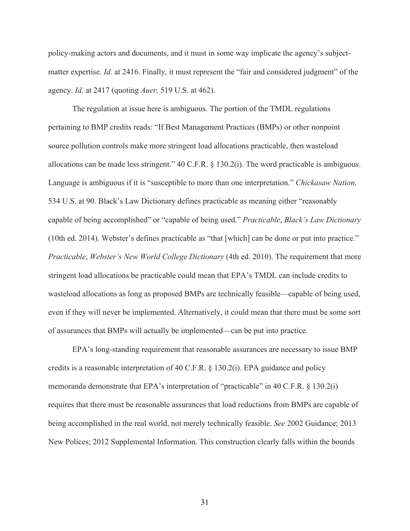policy-making actors and documents, and it must in some way implicate the agency's subjectmatter expertise. *Id.* at 2416. Finally, it must represent the "fair and considered judgment" of the agency. *Id*. at 2417 (quoting *Auer,* 519 U.S. at 462).

The regulation at issue here is ambiguous. The portion of the TMDL regulations pertaining to BMP credits reads: "If Best Management Practices (BMPs) or other nonpoint source pollution controls make more stringent load allocations practicable, then wasteload allocations can be made less stringent." 40 C.F.R. § 130.2(i). The word practicable is ambiguous. Language is ambiguous if it is "susceptible to more than one interpretation." *Chickasaw Nation,*  534 U.S. at 90. Black's Law Dictionary defines practicable as meaning either "reasonably capable of being accomplished" or "capable of being used." *Practicable*, *Black's Law Dictionary* (10th ed. 2014). Webster's defines practicable as "that [which] can be done or put into practice." *Practicable*, *Webster's New World College Dictionary* (4th ed. 2010). The requirement that more stringent load allocations be practicable could mean that EPA's TMDL can include credits to wasteload allocations as long as proposed BMPs are technically feasible—capable of being used, even if they will never be implemented. Alternatively, it could mean that there must be some sort of assurances that BMPs will actually be implemented—can be put into practice.

EPA's long-standing requirement that reasonable assurances are necessary to issue BMP credits is a reasonable interpretation of 40 C.F.R. § 130.2(i). EPA guidance and policy memoranda demonstrate that EPA's interpretation of "practicable" in 40 C.F.R. § 130.2(i) requires that there must be reasonable assurances that load reductions from BMPs are capable of being accomplished in the real world, not merely technically feasible. *See* 2002 Guidance; 2013 New Polices; 2012 Supplemental Information. This construction clearly falls within the bounds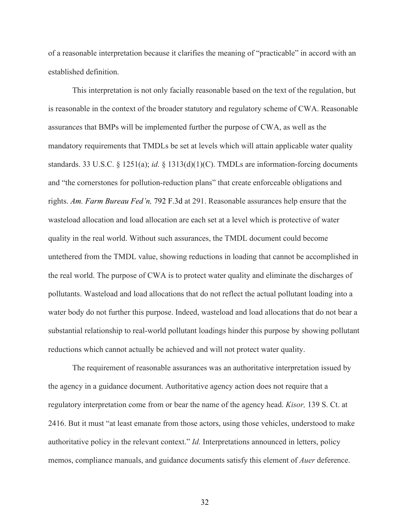of a reasonable interpretation because it clarifies the meaning of "practicable" in accord with an established definition.

This interpretation is not only facially reasonable based on the text of the regulation, but is reasonable in the context of the broader statutory and regulatory scheme of CWA. Reasonable assurances that BMPs will be implemented further the purpose of CWA, as well as the mandatory requirements that TMDLs be set at levels which will attain applicable water quality standards. 33 U.S.C.  $\S$  1251(a); *id.*  $\S$  1313(d)(1)(C). TMDLs are information-forcing documents and "the cornerstones for pollution-reduction plans" that create enforceable obligations and rights. *Am. Farm Bureau Fed'n,* 792 F.3d at 291. Reasonable assurances help ensure that the wasteload allocation and load allocation are each set at a level which is protective of water quality in the real world. Without such assurances, the TMDL document could become untethered from the TMDL value, showing reductions in loading that cannot be accomplished in the real world. The purpose of CWA is to protect water quality and eliminate the discharges of pollutants. Wasteload and load allocations that do not reflect the actual pollutant loading into a water body do not further this purpose. Indeed, wasteload and load allocations that do not bear a substantial relationship to real-world pollutant loadings hinder this purpose by showing pollutant reductions which cannot actually be achieved and will not protect water quality.

The requirement of reasonable assurances was an authoritative interpretation issued by the agency in a guidance document. Authoritative agency action does not require that a regulatory interpretation come from or bear the name of the agency head. *Kisor,* 139 S. Ct. at 2416. But it must "at least emanate from those actors, using those vehicles, understood to make authoritative policy in the relevant context." *Id.* Interpretations announced in letters, policy memos, compliance manuals, and guidance documents satisfy this element of *Auer* deference.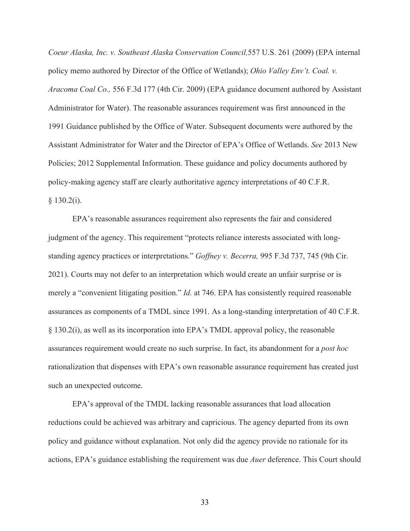*Coeur Alaska, Inc. v. Southeast Alaska Conservation Council,*557 U.S. 261 (2009) (EPA internal policy memo authored by Director of the Office of Wetlands); *Ohio Valley Env't. Coal. v. Aracoma Coal Co.,* 556 F.3d 177 (4th Cir. 2009) (EPA guidance document authored by Assistant Administrator for Water). The reasonable assurances requirement was first announced in the 1991 Guidance published by the Office of Water. Subsequent documents were authored by the Assistant Administrator for Water and the Director of EPA's Office of Wetlands. *See* 2013 New Policies; 2012 Supplemental Information. These guidance and policy documents authored by policy-making agency staff are clearly authoritative agency interpretations of 40 C.F.R.  $§$  130.2(i).

EPA's reasonable assurances requirement also represents the fair and considered judgment of the agency. This requirement "protects reliance interests associated with longstanding agency practices or interpretations." *Goffney v. Becerra,* 995 F.3d 737, 745 (9th Cir. 2021). Courts may not defer to an interpretation which would create an unfair surprise or is merely a "convenient litigating position." *Id.* at 746. EPA has consistently required reasonable assurances as components of a TMDL since 1991. As a long-standing interpretation of 40 C.F.R. § 130.2(i), as well as its incorporation into EPA's TMDL approval policy, the reasonable assurances requirement would create no such surprise. In fact, its abandonment for a *post hoc*  rationalization that dispenses with EPA's own reasonable assurance requirement has created just such an unexpected outcome.

EPA's approval of the TMDL lacking reasonable assurances that load allocation reductions could be achieved was arbitrary and capricious. The agency departed from its own policy and guidance without explanation. Not only did the agency provide no rationale for its actions, EPA's guidance establishing the requirement was due *Auer* deference. This Court should